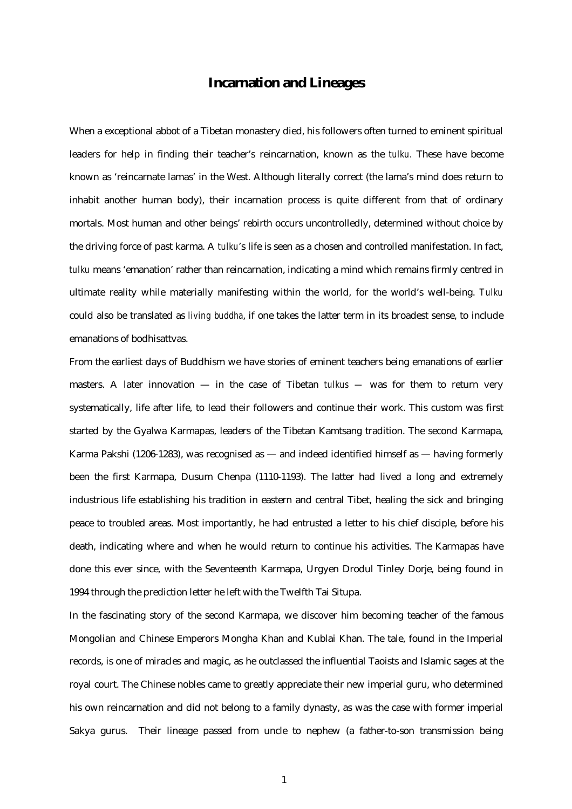## **Incarnation and Lineages**

When a exceptional abbot of a Tibetan monastery died, his followers often turned to eminent spiritual leaders for help in finding their teacher's reincarnation, known as the *tulku.* These have become known as 'reincarnate lamas' in the West. Although literally correct (the lama's mind does return to inhabit another human body), their incarnation process is quite different from that of ordinary mortals. Most human and other beings' rebirth occurs uncontrolledly, determined without choice by the driving force of past karma. A *tulku*'s life is seen as a chosen and controlled manifestation. In fact, *tulku* means 'emanation' rather than reincarnation, indicating a mind which remains firmly centred in ultimate reality while materially manifesting within the world, for the world's well-being. *Tulku* could also be translated as *living buddha*, if one takes the latter term in its broadest sense, to include emanations of bodhisattvas.

From the earliest days of Buddhism we have stories of eminent teachers being emanations of earlier masters. A later innovation — in the case of Tibetan *tulkus —* was for them to return very systematically, life after life, to lead their followers and continue their work. This custom was first started by the Gyalwa Karmapas, leaders of the Tibetan Kamtsang tradition. The second Karmapa, Karma Pakshi (1206-1283), was recognised as — and indeed identified himself as — having formerly been the first Karmapa, Dusum Chenpa (1110-1193). The latter had lived a long and extremely industrious life establishing his tradition in eastern and central Tibet, healing the sick and bringing peace to troubled areas. Most importantly, he had entrusted a letter to his chief disciple, before his death, indicating where and when he would return to continue his activities. The Karmapas have done this ever since, with the Seventeenth Karmapa, Urgyen Drodul Tinley Dorje, being found in 1994 through the prediction letter he left with the Twelfth Tai Situpa.

In the fascinating story of the second Karmapa, we discover him becoming teacher of the famous Mongolian and Chinese Emperors Mongha Khan and Kublai Khan. The tale, found in the Imperial records, is one of miracles and magic, as he outclassed the influential Taoists and Islamic sages at the royal court. The Chinese nobles came to greatly appreciate their new imperial guru, who determined his own reincarnation and did not belong to a family dynasty, as was the case with former imperial Sakya gurus. Their lineage passed from uncle to nephew (a father-to-son transmission being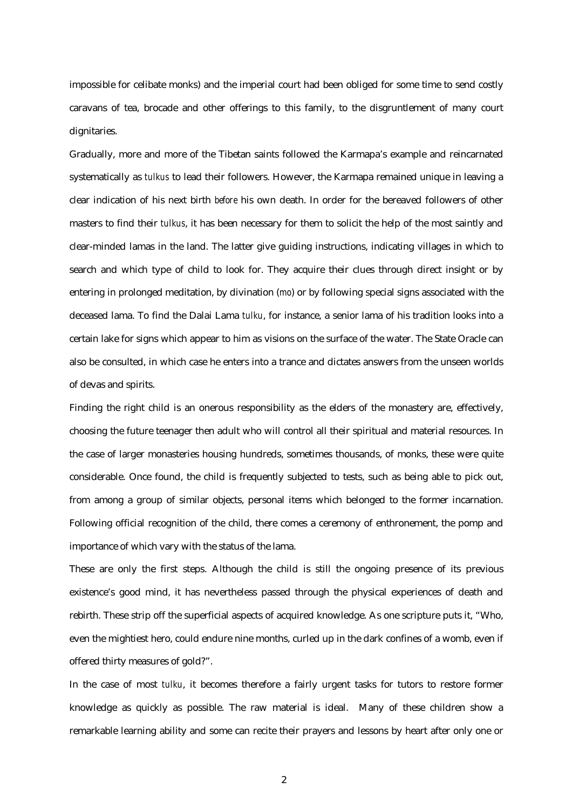impossible for celibate monks) and the imperial court had been obliged for some time to send costly caravans of tea, brocade and other offerings to this family, to the disgruntlement of many court dignitaries.

Gradually, more and more of the Tibetan saints followed the Karmapa's example and reincarnated systematically as *tulkus* to lead their followers. However, the Karmapa remained unique in leaving a clear indication of his next birth *before* his own death. In order for the bereaved followers of other masters to find their *tulkus*, it has been necessary for them to solicit the help of the most saintly and clear-minded lamas in the land. The latter give guiding instructions, indicating villages in which to search and which type of child to look for. They acquire their clues through direct insight or by entering in prolonged meditation, by divination (*mo*) or by following special signs associated with the deceased lama. To find the Dalai Lama *tulku*, for instance, a senior lama of his tradition looks into a certain lake for signs which appear to him as visions on the surface of the water. The State Oracle can also be consulted, in which case he enters into a trance and dictates answers from the unseen worlds of devas and spirits.

Finding the right child is an onerous responsibility as the elders of the monastery are, effectively, choosing the future teenager then adult who will control all their spiritual and material resources. In the case of larger monasteries housing hundreds, sometimes thousands, of monks, these were quite considerable. Once found, the child is frequently subjected to tests, such as being able to pick out, from among a group of similar objects, personal items which belonged to the former incarnation. Following official recognition of the child, there comes a ceremony of enthronement, the pomp and importance of which vary with the status of the lama.

These are only the first steps. Although the child is still the ongoing presence of its previous existence's good mind, it has nevertheless passed through the physical experiences of death and rebirth. These strip off the superficial aspects of acquired knowledge. As one scripture puts it, "Who, even the mightiest hero, could endure nine months, curled up in the dark confines of a womb, even if offered thirty measures of gold?".

In the case of most *tulku*, it becomes therefore a fairly urgent tasks for tutors to restore former knowledge as quickly as possible. The raw material is ideal. Many of these children show a remarkable learning ability and some can recite their prayers and lessons by heart after only one or

2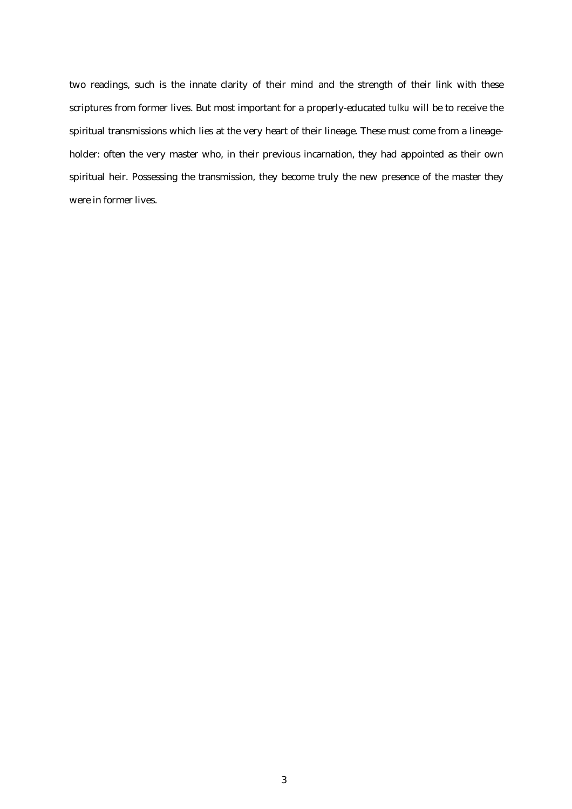two readings, such is the innate clarity of their mind and the strength of their link with these scriptures from former lives. But most important for a properly-educated *tulku* will be to receive the spiritual transmissions which lies at the very heart of their lineage. These must come from a lineageholder: often the very master who, in their previous incarnation, they had appointed as their own spiritual heir. Possessing the transmission, they become truly the new presence of the master they were in former lives.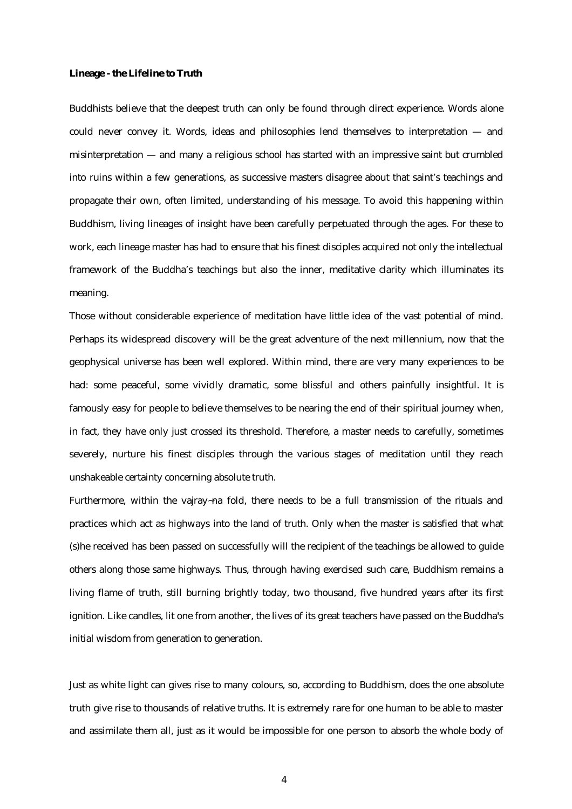## **Lineage - the Lifeline to Truth**

Buddhists believe that the deepest truth can only be found through direct experience. Words alone could never convey it. Words, ideas and philosophies lend themselves to interpretation — and misinterpretation — and many a religious school has started with an impressive saint but crumbled into ruins within a few generations, as successive masters disagree about that saint's teachings and propagate their own, often limited, understanding of his message. To avoid this happening within Buddhism, living lineages of insight have been carefully perpetuated through the ages. For these to work, each lineage master has had to ensure that his finest disciples acquired not only the intellectual framework of the Buddha's teachings but also the inner, meditative clarity which illuminates its meaning.

Those without considerable experience of meditation have little idea of the vast potential of mind. Perhaps its widespread discovery will be the great adventure of the next millennium, now that the geophysical universe has been well explored. Within mind, there are very many experiences to be had: some peaceful, some vividly dramatic, some blissful and others painfully insightful. It is famously easy for people to believe themselves to be nearing the end of their spiritual journey when, in fact, they have only just crossed its threshold. Therefore, a master needs to carefully, sometimes severely, nurture his finest disciples through the various stages of meditation until they reach unshakeable certainty concerning absolute truth.

Furthermore, within the vajray~na fold, there needs to be a full transmission of the rituals and practices which act as highways into the land of truth. Only when the master is satisfied that what (s)he received has been passed on successfully will the recipient of the teachings be allowed to guide others along those same highways. Thus, through having exercised such care, Buddhism remains a living flame of truth, still burning brightly today, two thousand, five hundred years after its first ignition. Like candles, lit one from another, the lives of its great teachers have passed on the Buddha's initial wisdom from generation to generation.

Just as white light can gives rise to many colours, so, according to Buddhism, does the one absolute truth give rise to thousands of relative truths. It is extremely rare for one human to be able to master and assimilate them all, just as it would be impossible for one person to absorb the whole body of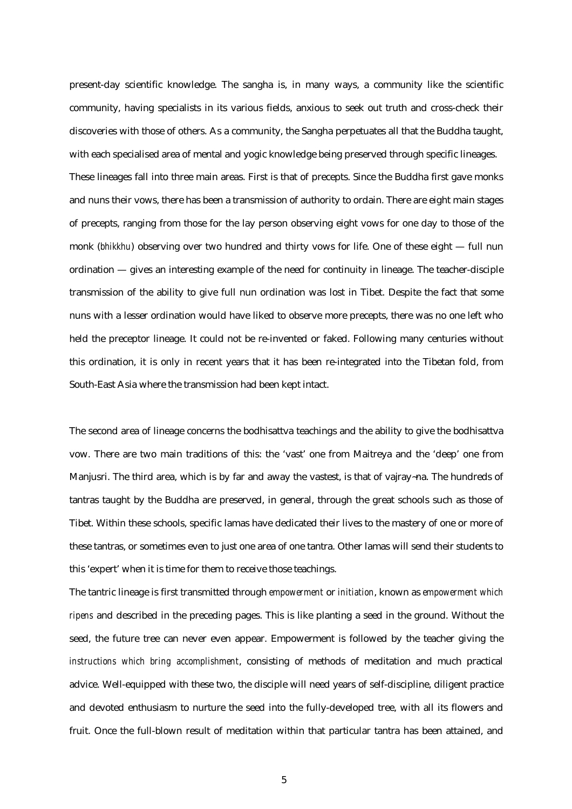present-day scientific knowledge. The sangha is, in many ways, a community like the scientific community, having specialists in its various fields, anxious to seek out truth and cross-check their discoveries with those of others. As a community, the Sangha perpetuates all that the Buddha taught, with each specialised area of mental and yogic knowledge being preserved through specific lineages. These lineages fall into three main areas. First is that of precepts. Since the Buddha first gave monks and nuns their vows, there has been a transmission of authority to ordain. There are eight main stages of precepts, ranging from those for the lay person observing eight vows for one day to those of the monk (*bhikkhu*) observing over two hundred and thirty vows for life. One of these eight — full nun ordination — gives an interesting example of the need for continuity in lineage. The teacher-disciple transmission of the ability to give full nun ordination was lost in Tibet. Despite the fact that some nuns with a lesser ordination would have liked to observe more precepts, there was no one left who held the preceptor lineage. It could not be re-invented or faked. Following many centuries without this ordination, it is only in recent years that it has been re-integrated into the Tibetan fold, from South-East Asia where the transmission had been kept intact.

The second area of lineage concerns the bodhisattva teachings and the ability to give the bodhisattva vow. There are two main traditions of this: the 'vast' one from Maitreya and the 'deep' one from Manjusri. The third area, which is by far and away the vastest, is that of vajray~na. The hundreds of tantras taught by the Buddha are preserved, in general, through the great schools such as those of Tibet. Within these schools, specific lamas have dedicated their lives to the mastery of one or more of these tantras, or sometimes even to just one area of one tantra. Other lamas will send their students to this 'expert' when it is time for them to receive those teachings.

The tantric lineage is first transmitted through *empowerment* or *initiation*, known as *empowerment which ripens* and described in the preceding pages. This is like planting a seed in the ground. Without the seed, the future tree can never even appear. Empowerment is followed by the teacher giving the *instructions which bring accomplishment*, consisting of methods of meditation and much practical advice. Well-equipped with these two, the disciple will need years of self-discipline, diligent practice and devoted enthusiasm to nurture the seed into the fully-developed tree, with all its flowers and fruit. Once the full-blown result of meditation within that particular tantra has been attained, and